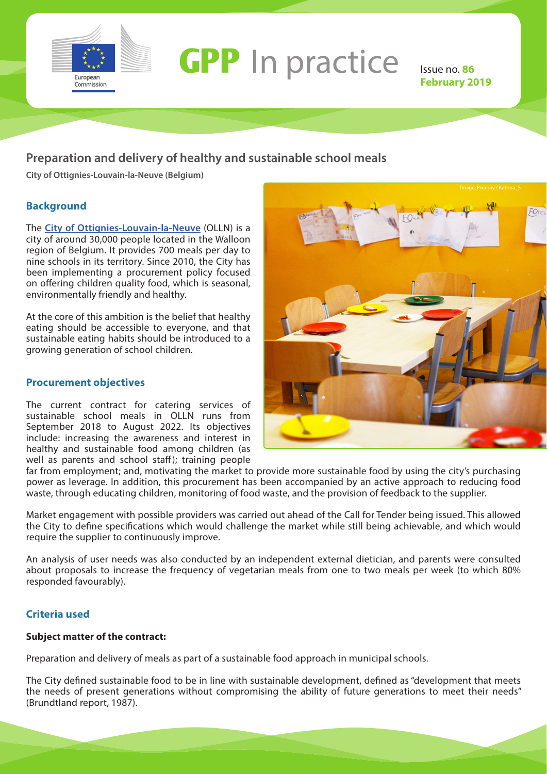

# **GPP** In practice Issue no. 86

**February 2019**

### **Preparation and delivery of healthy and sustainable school meals**

**City of Ottignies-Louvain-la-Neuve (Belgium)**

### **Background**

The **[City of Ottignies-Louvain-la-Neuve](https://www.olln.be/)** (OLLN) is a city of around 30,000 people located in the Walloon region of Belgium. It provides 700 meals per day to nine schools in its territory. Since 2010, the City has been implementing a procurement policy focused on offering children quality food, which is seasonal, environmentally friendly and healthy.

At the core of this ambition is the belief that healthy eating should be accessible to everyone, and that sustainable eating habits should be introduced to a growing generation of school children.

### **Procurement objectives**

The current contract for catering services of sustainable school meals in OLLN runs from September 2018 to August 2022. Its objectives include: increasing the awareness and interest in healthy and sustainable food among children (as well as parents and school staff); training people



far from employment; and, motivating the market to provide more sustainable food by using the city's purchasing power as leverage. In addition, this procurement has been accompanied by an active approach to reducing food waste, through educating children, monitoring of food waste, and the provision of feedback to the supplier.

Market engagement with possible providers was carried out ahead of the Call for Tender being issued. This allowed the City to define specifications which would challenge the market while still being achievable, and which would require the supplier to continuously improve.

An analysis of user needs was also conducted by an independent external dietician, and parents were consulted about proposals to increase the frequency of vegetarian meals from one to two meals per week (to which 80% responded favourably).

### **Criteria used**

### **Subject matter of the contract:**

Preparation and delivery of meals as part of a sustainable food approach in municipal schools.

The City defined sustainable food to be in line with sustainable development, defined as "development that meets the needs of present generations without compromising the ability of future generations to meet their needs" (Brundtland report, 1987).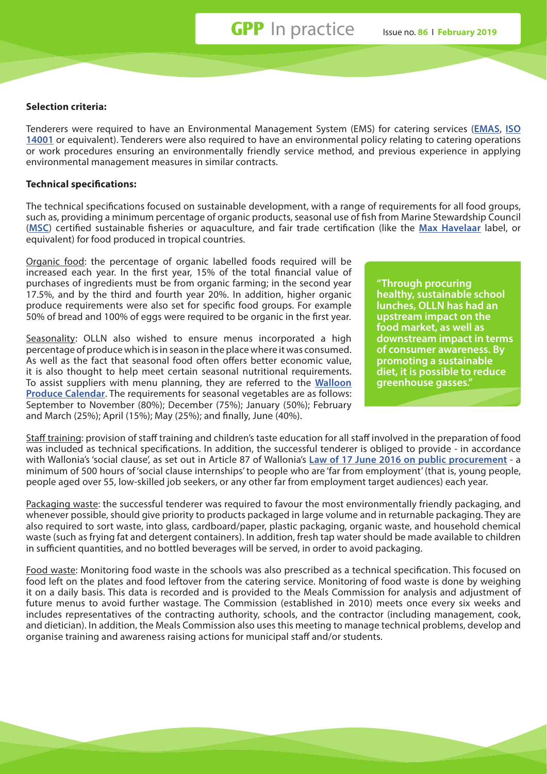### **Selection criteria:**

Tenderers were required to have an Environmental Management System (EMS) for catering services (**[EMAS](http://ec.europa.eu/environment/emas/index_en.htm)**, **[ISO](https://www.iso.org/iso-14001-environmental-management.html)  [14001](https://www.iso.org/iso-14001-environmental-management.html)** or equivalent). Tenderers were also required to have an environmental policy relating to catering operations or work procedures ensuring an environmentally friendly service method, and previous experience in applying environmental management measures in similar contracts.

### **Technical specifications:**

The technical specifications focused on sustainable development, with a range of requirements for all food groups, such as, providing a minimum percentage of organic products, seasonal use of fish from Marine Stewardship Council (**[MSC](https://www.msc.org/)**) certified sustainable fisheries or aquaculture, and fair trade certification (like the **[Max Havelaar](https://www.maxhavelaar.ch/)** label, or equivalent) for food produced in tropical countries.

Organic food: the percentage of organic labelled foods required will be increased each year. In the first year, 15% of the total financial value of purchases of ingredients must be from organic farming; in the second year 17.5%, and by the third and fourth year 20%. In addition, higher organic produce requirements were also set for specific food groups. For example 50% of bread and 100% of eggs were required to be organic in the first year.

Seasonality: OLLN also wished to ensure menus incorporated a high percentage of produce which is in season in the place where it was consumed. As well as the fact that seasonal food often offers better economic value, it is also thought to help meet certain seasonal nutritional requirements. To assist suppliers with menu planning, they are referred to the **[Walloon](http://www.apaqw.be/Apaqw/media/PDF/bio/cal_fr_lg_A4_low.pdf)  [Produce Calendar](http://www.apaqw.be/Apaqw/media/PDF/bio/cal_fr_lg_A4_low.pdf)**. The requirements for seasonal vegetables are as follows: September to November (80%); December (75%); January (50%); February and March (25%); April (15%); May (25%); and finally, June (40%).

**"Through procuring healthy, sustainable school lunches, OLLN has had an upstream impact on the food market, as well as downstream impact in terms of consumer awareness. By promoting a sustainable diet, it is possible to reduce greenhouse gasses."**

Staff training: provision of staff training and children's taste education for all staff involved in the preparation of food was included as technical specifications. In addition, the successful tenderer is obliged to provide - in accordance with Wallonia's 'social clause', as set out in Article 87 of Wallonia's **[Law of 17 June 2016 on public procurement](https://wallex.wallonie.be/index.php?doc=30153)** - a minimum of 500 hours of 'social clause internships' to people who are 'far from employment' (that is, young people, people aged over 55, low-skilled job seekers, or any other far from employment target audiences) each year.

Packaging waste: the successful tenderer was required to favour the most environmentally friendly packaging, and whenever possible, should give priority to products packaged in large volume and in returnable packaging. They are also required to sort waste, into glass, cardboard/paper, plastic packaging, organic waste, and household chemical waste (such as frying fat and detergent containers). In addition, fresh tap water should be made available to children in sufficient quantities, and no bottled beverages will be served, in order to avoid packaging.

Food waste: Monitoring food waste in the schools was also prescribed as a technical specification. This focused on food left on the plates and food leftover from the catering service. Monitoring of food waste is done by weighing it on a daily basis. This data is recorded and is provided to the Meals Commission for analysis and adjustment of future menus to avoid further wastage. The Commission (established in 2010) meets once every six weeks and includes representatives of the contracting authority, schools, and the contractor (including management, cook, and dietician). In addition, the Meals Commission also uses this meeting to manage technical problems, develop and organise training and awareness raising actions for municipal staff and/or students.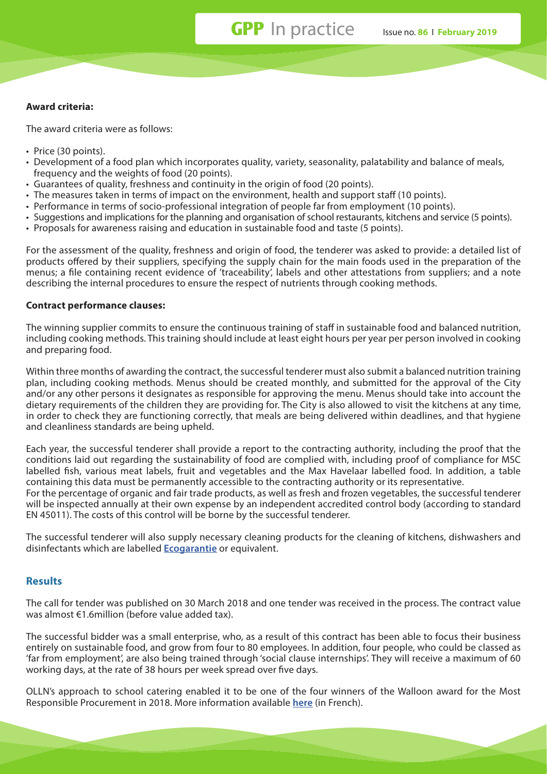## **GPP** In practice Issue no. **86** I **February 2019**

### **Award criteria:**

The award criteria were as follows:

- Price (30 points).
- Development of a food plan which incorporates quality, variety, seasonality, palatability and balance of meals, frequency and the weights of food (20 points).
- Guarantees of quality, freshness and continuity in the origin of food (20 points).
- The measures taken in terms of impact on the environment, health and support staff (10 points).
- Performance in terms of socio-professional integration of people far from employment (10 points).
- Suggestions and implications for the planning and organisation of school restaurants, kitchens and service (5 points).
- Proposals for awareness raising and education in sustainable food and taste (5 points).

For the assessment of the quality, freshness and origin of food, the tenderer was asked to provide: a detailed list of products offered by their suppliers, specifying the supply chain for the main foods used in the preparation of the menus; a file containing recent evidence of 'traceability', labels and other attestations from suppliers; and a note describing the internal procedures to ensure the respect of nutrients through cooking methods.

### **Contract performance clauses:**

The winning supplier commits to ensure the continuous training of staff in sustainable food and balanced nutrition, including cooking methods. This training should include at least eight hours per year per person involved in cooking and preparing food.

Within three months of awarding the contract, the successful tenderer must also submit a balanced nutrition training plan, including cooking methods. Menus should be created monthly, and submitted for the approval of the City and/or any other persons it designates as responsible for approving the menu. Menus should take into account the dietary requirements of the children they are providing for. The City is also allowed to visit the kitchens at any time, in order to check they are functioning correctly, that meals are being delivered within deadlines, and that hygiene and cleanliness standards are being upheld.

Each year, the successful tenderer shall provide a report to the contracting authority, including the proof that the conditions laid out regarding the sustainability of food are complied with, including proof of compliance for MSC labelled fish, various meat labels, fruit and vegetables and the Max Havelaar labelled food. In addition, a table containing this data must be permanently accessible to the contracting authority or its representative. For the percentage of organic and fair trade products, as well as fresh and frozen vegetables, the successful tenderer will be inspected annually at their own expense by an independent accredited control body (according to standard EN 45011). The costs of this control will be borne by the successful tenderer.

The successful tenderer will also supply necessary cleaning products for the cleaning of kitchens, dishwashers and disinfectants which are labelled **[Ecogarantie](https://ecogarantie.eu/)** or equivalent.

### **Results**

The call for tender was published on 30 March 2018 and one tender was received in the process. The contract value was almost €1.6million (before value added tax).

The successful bidder was a small enterprise, who, as a result of this contract has been able to focus their business entirely on sustainable food, and grow from four to 80 employees. In addition, four people, who could be classed as 'far from employment', are also being trained through 'social clause internships'. They will receive a maximum of 60 working days, at the rate of 38 hours per week spread over five days.

OLLN's approach to school catering enabled it to be one of the four winners of the Walloon award for the Most Responsible Procurement in 2018. More information available **[here](http://developpementdurable.wallonie.be/1ere-edition-du-prix-wallon-du-marche-public-le-plus-responsable)** (in French).